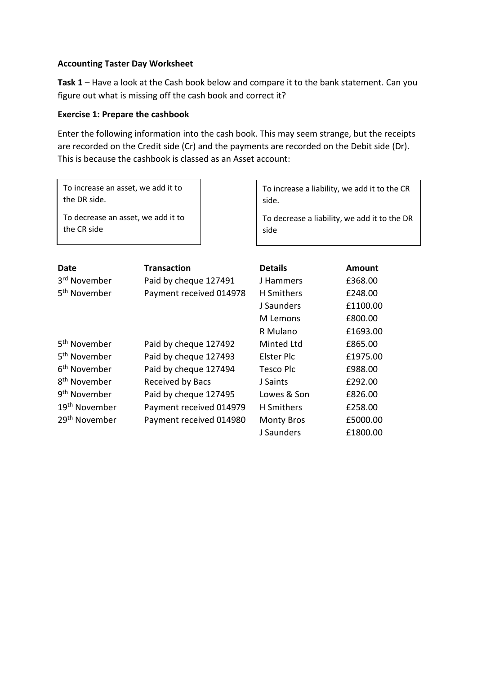# **Accounting Taster Day Worksheet**

**Task 1** – Have a look at the Cash book below and compare it to the bank statement. Can you figure out what is missing off the cash book and correct it?

# **Exercise 1: Prepare the cashbook**

Enter the following information into the cash book. This may seem strange, but the receipts are recorded on the Credit side (Cr) and the payments are recorded on the Debit side (Dr). This is because the cashbook is classed as an Asset account:

To increase an asset, we add it to the DR side.

To decrease an asset, we add it to the CR side

To increase a liability, we add it to the CR side.

To decrease a liability, we add it to the DR side

| Date                      | <b>Transaction</b>      | <b>Details</b>    | <b>Amount</b> |
|---------------------------|-------------------------|-------------------|---------------|
| 3rd November              | Paid by cheque 127491   | J Hammers         | £368.00       |
| 5 <sup>th</sup> November  | Payment received 014978 | H Smithers        | £248.00       |
|                           |                         | J Saunders        | £1100.00      |
|                           |                         | M Lemons          | £800.00       |
|                           |                         | R Mulano          | £1693.00      |
| 5 <sup>th</sup> November  | Paid by cheque 127492   | <b>Minted Ltd</b> | £865.00       |
| 5 <sup>th</sup> November  | Paid by cheque 127493   | Elster Plc        | £1975.00      |
| 6 <sup>th</sup> November  | Paid by cheque 127494   | <b>Tesco Plc</b>  | £988.00       |
| 8 <sup>th</sup> November  | Received by Bacs        | J Saints          | £292.00       |
| 9 <sup>th</sup> November  | Paid by cheque 127495   | Lowes & Son       | £826.00       |
| 19 <sup>th</sup> November | Payment received 014979 | <b>H</b> Smithers | £258.00       |
| 29 <sup>th</sup> November | Payment received 014980 | <b>Monty Bros</b> | £5000.00      |
|                           |                         | J Saunders        | £1800.00      |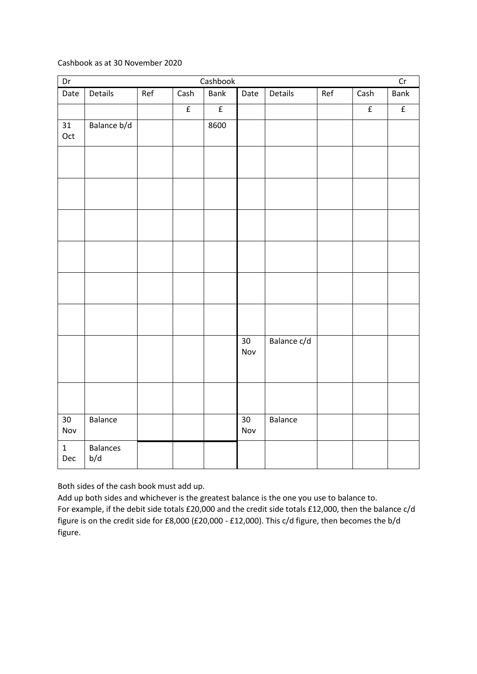#### Cashbook as at 30 November 2020

| Dr                  |                        |     |                    | Cashbook  |                        |             |     |                    | Cr          |
|---------------------|------------------------|-----|--------------------|-----------|------------------------|-------------|-----|--------------------|-------------|
| Date                | Details                | Ref | Cash               | Bank      | Date                   | Details     | Ref | Cash               | Bank        |
|                     |                        |     | $\pmb{\mathsf{f}}$ | ${\bf f}$ |                        |             |     | $\pmb{\mathsf{f}}$ | $\mathbf f$ |
| 31<br>Oct           | Balance b/d            |     |                    | 8600      |                        |             |     |                    |             |
|                     |                        |     |                    |           |                        |             |     |                    |             |
|                     |                        |     |                    |           |                        |             |     |                    |             |
|                     |                        |     |                    |           |                        |             |     |                    |             |
|                     |                        |     |                    |           |                        |             |     |                    |             |
|                     |                        |     |                    |           |                        |             |     |                    |             |
|                     |                        |     |                    |           |                        |             |     |                    |             |
|                     |                        |     |                    |           | 30<br>Nov              | Balance c/d |     |                    |             |
|                     |                        |     |                    |           |                        |             |     |                    |             |
| 30<br>Nov           | Balance                |     |                    |           | $\overline{30}$<br>Nov | Balance     |     |                    |             |
| $\mathbf{1}$<br>Dec | <b>Balances</b><br>b/d |     |                    |           |                        |             |     |                    |             |

Both sides of the cash book must add up.

Add up both sides and whichever is the greatest balance is the one you use to balance to. For example, if the debit side totals £20,000 and the credit side totals £12,000, then the balance c/d figure is on the credit side for £8,000 (£20,000 - £12,000). This c/d figure, then becomes the b/d figure.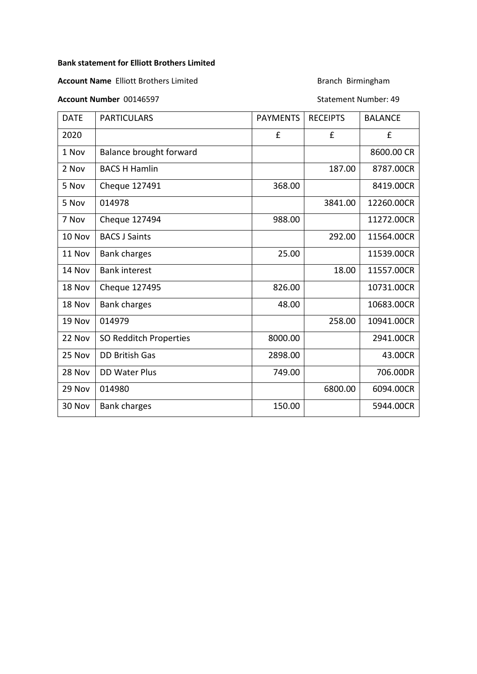# **Bank statement for Elliott Brothers Limited**

Account Name Elliott Brothers Limited **Branch Birmingham** 

### Account Number 00146597 Statement Number: 49

| <b>DATE</b> | <b>PARTICULARS</b>             | <b>PAYMENTS</b> | <b>RECEIPTS</b> | <b>BALANCE</b> |
|-------------|--------------------------------|-----------------|-----------------|----------------|
| 2020        |                                | £               | £               | £              |
| 1 Nov       | <b>Balance brought forward</b> |                 |                 | 8600.00 CR     |
| 2 Nov       | <b>BACS H Hamlin</b>           |                 | 187.00          | 8787.00CR      |
| 5 Nov       | Cheque 127491                  | 368.00          |                 | 8419.00CR      |
| 5 Nov       | 014978                         |                 | 3841.00         | 12260.00CR     |
| 7 Nov       | Cheque 127494                  | 988.00          |                 | 11272.00CR     |
| 10 Nov      | <b>BACS J Saints</b>           |                 | 292.00          | 11564.00CR     |
| 11 Nov      | <b>Bank charges</b>            | 25.00           |                 | 11539.00CR     |
| 14 Nov      | <b>Bank interest</b>           |                 | 18.00           | 11557.00CR     |
| 18 Nov      | Cheque 127495                  | 826.00          |                 | 10731.00CR     |
| 18 Nov      | <b>Bank charges</b>            | 48.00           |                 | 10683.00CR     |
| 19 Nov      | 014979                         |                 | 258.00          | 10941.00CR     |
| 22 Nov      | SO Redditch Properties         | 8000.00         |                 | 2941.00CR      |
| 25 Nov      | <b>DD British Gas</b>          | 2898.00         |                 | 43.00CR        |
| 28 Nov      | <b>DD Water Plus</b>           | 749.00          |                 | 706.00DR       |
| 29 Nov      | 014980                         |                 | 6800.00         | 6094.00CR      |
| 30 Nov      | <b>Bank charges</b>            | 150.00          |                 | 5944.00CR      |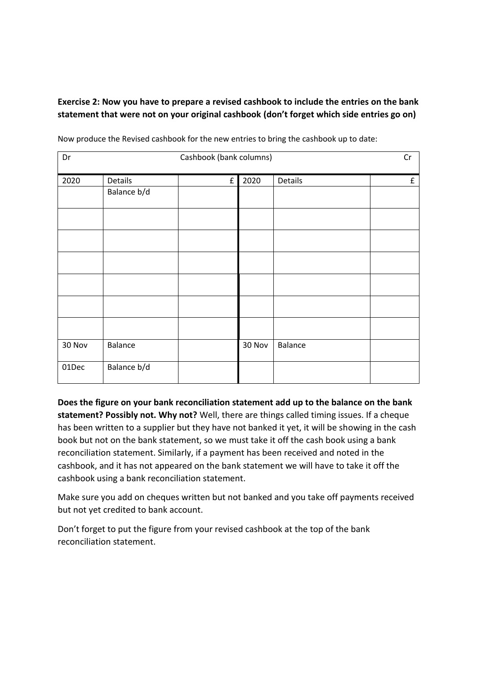# **Exercise 2: Now you have to prepare a revised cashbook to include the entries on the bank statement that were not on your original cashbook (don't forget which side entries go on)**

| Dr       |             | Cashbook (bank columns) |        |         | Cr          |
|----------|-------------|-------------------------|--------|---------|-------------|
| 2020     | Details     | f                       | 2020   | Details | $\mathbf f$ |
|          | Balance b/d |                         |        |         |             |
|          |             |                         |        |         |             |
|          |             |                         |        |         |             |
|          |             |                         |        |         |             |
|          |             |                         |        |         |             |
|          |             |                         |        |         |             |
|          |             |                         |        |         |             |
|          |             |                         |        |         |             |
| 30 Nov   | Balance     |                         | 30 Nov | Balance |             |
| $01$ Dec | Balance b/d |                         |        |         |             |

Now produce the Revised cashbook for the new entries to bring the cashbook up to date:

**Does the figure on your bank reconciliation statement add up to the balance on the bank statement? Possibly not. Why not?** Well, there are things called timing issues. If a cheque has been written to a supplier but they have not banked it yet, it will be showing in the cash book but not on the bank statement, so we must take it off the cash book using a bank reconciliation statement. Similarly, if a payment has been received and noted in the cashbook, and it has not appeared on the bank statement we will have to take it off the cashbook using a bank reconciliation statement.

Make sure you add on cheques written but not banked and you take off payments received but not yet credited to bank account.

Don't forget to put the figure from your revised cashbook at the top of the bank reconciliation statement.